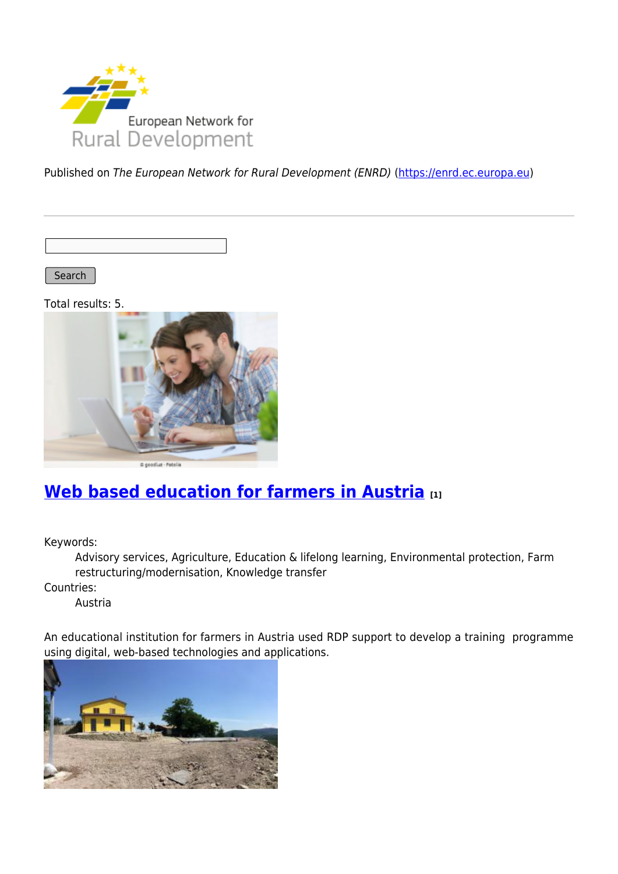

Published on The European Network for Rural Development (ENRD) [\(https://enrd.ec.europa.eu](https://enrd.ec.europa.eu))

Search

Total results: 5.



# **[Web based education for farmers in Austria](https://enrd.ec.europa.eu/projects-practice/web-based-education-farmers-austria_en) [1]**

Keywords:

Advisory services, Agriculture, Education & lifelong learning, Environmental protection, Farm restructuring/modernisation, Knowledge transfer

Countries:

Austria

An educational institution for farmers in Austria used RDP support to develop a training programme using digital, web-based technologies and applications.

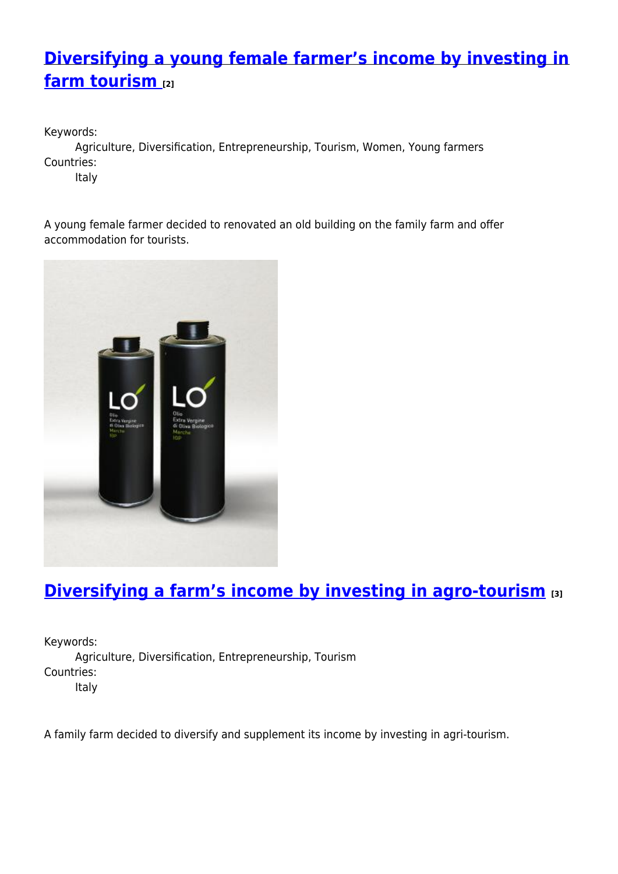## **[Diversifying a young female farmer's income by investing in](https://enrd.ec.europa.eu/projects-practice/diversifying-young-female-farmers-income-investing-farm-tourism_en) [farm tourism](https://enrd.ec.europa.eu/projects-practice/diversifying-young-female-farmers-income-investing-farm-tourism_en) [2]**

Keywords: Agriculture, Diversification, Entrepreneurship, Tourism, Women, Young farmers Countries:

Italy

A young female farmer decided to renovated an old building on the family farm and offer accommodation for tourists.



# **[Diversifying a farm's income by investing in agro-tourism](https://enrd.ec.europa.eu/projects-practice/diversifying-farms-income-investing-agro-tourism_en) [3]**

Keywords: Agriculture, Diversification, Entrepreneurship, Tourism Countries: Italy

A family farm decided to diversify and supplement its income by investing in agri-tourism.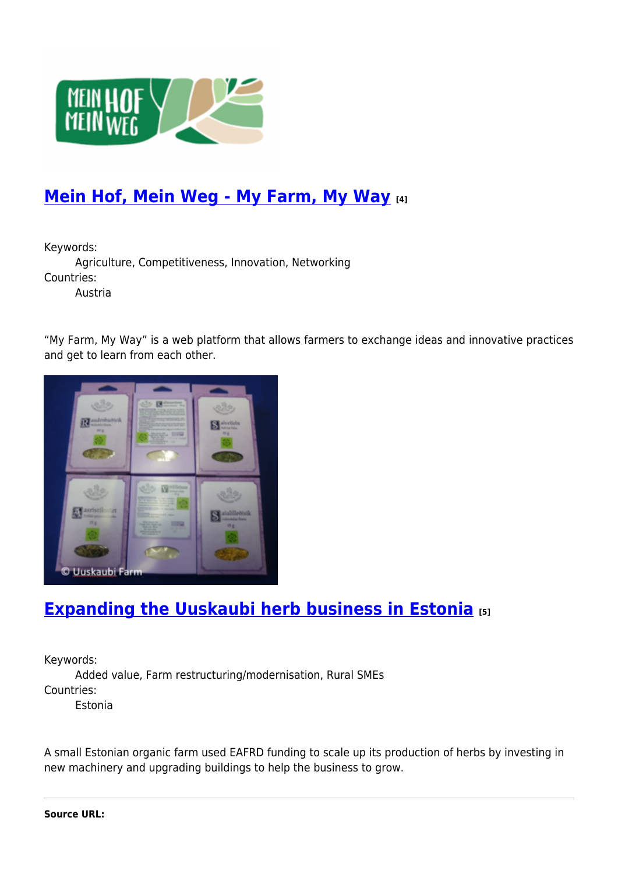

## **[Mein Hof, Mein Weg - My Farm, My Way](https://enrd.ec.europa.eu/projects-practice/mein-hof-mein-weg-my-farm-my-way_en) [4]**

Keywords:

Agriculture, Competitiveness, Innovation, Networking Countries:

Austria

"My Farm, My Way" is a web platform that allows farmers to exchange ideas and innovative practices and get to learn from each other.



### **[Expanding the Uuskaubi herb business in Estonia](https://enrd.ec.europa.eu/projects-practice/expanding-uuskaubi-herb-business-estonia_en) [5]**

Keywords:

Added value, Farm restructuring/modernisation, Rural SMEs Countries:

Estonia

A small Estonian organic farm used EAFRD funding to scale up its production of herbs by investing in new machinery and upgrading buildings to help the business to grow.